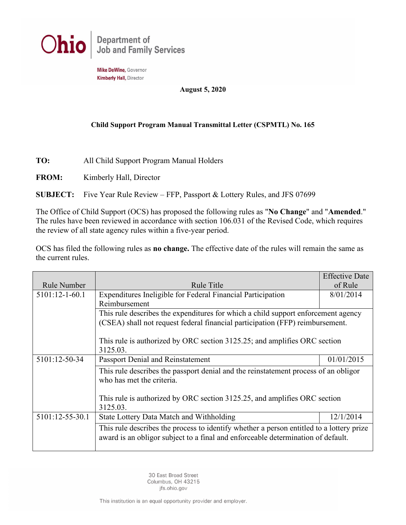

Mike DeWine, Governor **Kimberly Hall, Director** 

### **August 5, 2020**

### **Child Support Program Manual Transmittal Letter (CSPMTL) No. 165**

**TO:** All Child Support Program Manual Holders

**FROM:** Kimberly Hall, Director

**SUBJECT:** Five Year Rule Review – FFP, Passport & Lottery Rules, and JFS 07699

The Office of Child Support (OCS) has proposed the following rules as "**No Change**" and "**Amended**." The rules have been reviewed in accordance with section 106.031 of the Revised Code, which requires the review of all state agency rules within a five-year period.

OCS has filed the following rules as **no change.** The effective date of the rules will remain the same as the current rules.

|                  |                                                                                          | <b>Effective Date</b> |  |
|------------------|------------------------------------------------------------------------------------------|-----------------------|--|
| Rule Number      | Rule Title                                                                               | of Rule               |  |
| $5101:12-1-60.1$ | Expenditures Ineligible for Federal Financial Participation                              | 8/01/2014             |  |
|                  | Reimbursement                                                                            |                       |  |
|                  | This rule describes the expenditures for which a child support enforcement agency        |                       |  |
|                  | (CSEA) shall not request federal financial participation (FFP) reimbursement.            |                       |  |
|                  |                                                                                          |                       |  |
|                  | This rule is authorized by ORC section 3125.25; and amplifies ORC section                |                       |  |
|                  | 3125.03.                                                                                 |                       |  |
| 5101:12-50-34    | <b>Passport Denial and Reinstatement</b><br>01/01/2015                                   |                       |  |
|                  | This rule describes the passport denial and the reinstatement process of an obligor      |                       |  |
|                  | who has met the criteria.                                                                |                       |  |
|                  |                                                                                          |                       |  |
|                  | This rule is authorized by ORC section 3125.25, and amplifies ORC section                |                       |  |
|                  | 3125.03.                                                                                 |                       |  |
| 5101:12-55-30.1  | State Lottery Data Match and Withholding                                                 | 12/1/2014             |  |
|                  | This rule describes the process to identify whether a person entitled to a lottery prize |                       |  |
|                  | award is an obligor subject to a final and enforceable determination of default.         |                       |  |
|                  |                                                                                          |                       |  |

30 East Broad Street Columbus, OH 43215 jfs.ohio.gov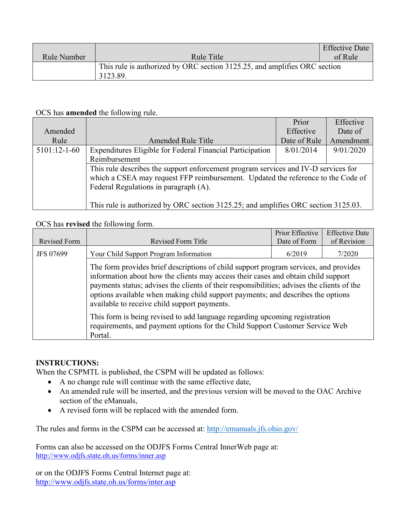|                                                                                       |            | <b>Effective Date</b> |
|---------------------------------------------------------------------------------------|------------|-----------------------|
| Rule Number                                                                           | Rule Title | of Rule               |
| This rule is authorized by ORC section 3125.25, and amplifies ORC section<br>3123.89. |            |                       |

## OCS has **amended** the following rule.

|                |                                                                                    | Prior        | Effective |
|----------------|------------------------------------------------------------------------------------|--------------|-----------|
| Amended        |                                                                                    | Effective    | Date of   |
| Rule           | <b>Amended Rule Title</b>                                                          | Date of Rule | Amendment |
| $5101:12-1-60$ | Expenditures Eligible for Federal Financial Participation                          | 8/01/2014    | 9/01/2020 |
|                | Reimbursement                                                                      |              |           |
|                | This rule describes the support enforcement program services and IV-D services for |              |           |
|                | which a CSEA may request FFP reimbursement. Updated the reference to the Code of   |              |           |
|                | Federal Regulations in paragraph (A).                                              |              |           |
|                |                                                                                    |              |           |
|                | This rule is authorized by ORC section 3125.25; and amplifies ORC section 3125.03. |              |           |

# OCS has **revised** the following form.

| Revised Form     | Revised Form Title                                                                                                                                                                                                                                                                                                                                                                                         | Prior Effective<br>Date of Form | <b>Effective Date</b><br>of Revision |
|------------------|------------------------------------------------------------------------------------------------------------------------------------------------------------------------------------------------------------------------------------------------------------------------------------------------------------------------------------------------------------------------------------------------------------|---------------------------------|--------------------------------------|
| <b>JFS 07699</b> | Your Child Support Program Information                                                                                                                                                                                                                                                                                                                                                                     | 6/2019                          | 7/2020                               |
|                  | The form provides brief descriptions of child support program services, and provides<br>information about how the clients may access their cases and obtain child support<br>payments status; advises the clients of their responsibilities; advises the clients of the<br>options available when making child support payments; and describes the options<br>available to receive child support payments. |                                 |                                      |
|                  | This form is being revised to add language regarding upcoming registration<br>requirements, and payment options for the Child Support Customer Service Web<br>Portal.                                                                                                                                                                                                                                      |                                 |                                      |

## **INSTRUCTIONS:**

When the CSPMTL is published, the CSPM will be updated as follows:

- A no change rule will continue with the same effective date,
- An amended rule will be inserted, and the previous version will be moved to the OAC Archive section of the eManuals,
- A revised form will be replaced with the amended form.

The rules and forms in the CSPM can be accessed at:<http://emanuals.jfs.ohio.gov/>

Forms can also be accessed on the ODJFS Forms Central InnerWeb page at: <http://www.odjfs.state.oh.us/forms/inner.asp>

or on the ODJFS Forms Central Internet page at: <http://www.odjfs.state.oh.us/forms/inter.asp>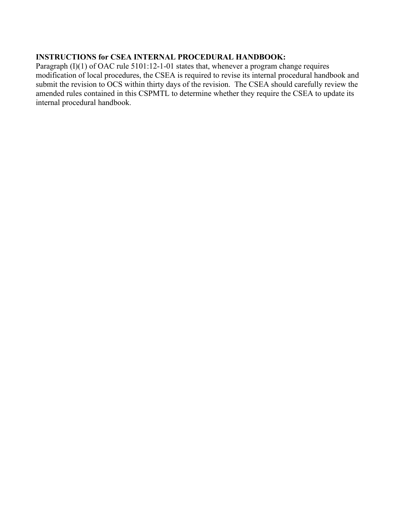## **INSTRUCTIONS for CSEA INTERNAL PROCEDURAL HANDBOOK:**

Paragraph (I)(1) of OAC rule 5101:12-1-01 states that, whenever a program change requires modification of local procedures, the CSEA is required to revise its internal procedural handbook and submit the revision to OCS within thirty days of the revision. The CSEA should carefully review the amended rules contained in this CSPMTL to determine whether they require the CSEA to update its internal procedural handbook.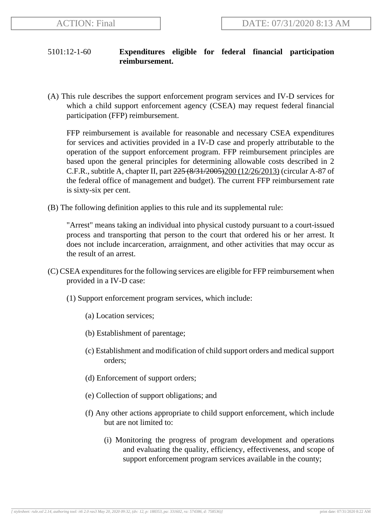# 5101:12-1-60 **Expenditures eligible for federal financial participation reimbursement.**

(A) This rule describes the support enforcement program services and IV-D services for which a child support enforcement agency (CSEA) may request federal financial participation (FFP) reimbursement.

FFP reimbursement is available for reasonable and necessary CSEA expenditures for services and activities provided in a IV-D case and properly attributable to the operation of the support enforcement program. FFP reimbursement principles are based upon the general principles for determining allowable costs described in 2 C.F.R., subtitle A, chapter II, part 225 (8/31/2005)200 (12/26/2013) (circular A-87 of the federal office of management and budget). The current FFP reimbursement rate is sixty-six per cent.

(B) The following definition applies to this rule and its supplemental rule:

"Arrest" means taking an individual into physical custody pursuant to a court-issued process and transporting that person to the court that ordered his or her arrest. It does not include incarceration, arraignment, and other activities that may occur as the result of an arrest.

- (C) CSEA expenditures for the following services are eligible for FFP reimbursement when provided in a IV-D case:
	- (1) Support enforcement program services, which include:
		- (a) Location services;
		- (b) Establishment of parentage;
		- (c) Establishment and modification of child support orders and medical support orders;
		- (d) Enforcement of support orders;
		- (e) Collection of support obligations; and
		- (f) Any other actions appropriate to child support enforcement, which include but are not limited to:
			- (i) Monitoring the progress of program development and operations and evaluating the quality, efficiency, effectiveness, and scope of support enforcement program services available in the county;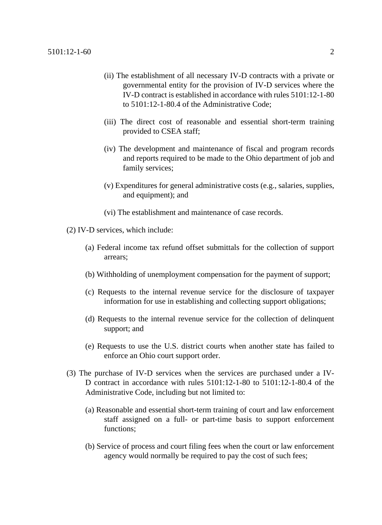- (ii) The establishment of all necessary IV-D contracts with a private or governmental entity for the provision of IV-D services where the IV-D contract is established in accordance with rules 5101:12-1-80 to 5101:12-1-80.4 of the Administrative Code;
- (iii) The direct cost of reasonable and essential short-term training provided to CSEA staff;
- (iv) The development and maintenance of fiscal and program records and reports required to be made to the Ohio department of job and family services;
- (v) Expenditures for general administrative costs (e.g., salaries, supplies, and equipment); and
- (vi) The establishment and maintenance of case records.
- (2) IV-D services, which include:
	- (a) Federal income tax refund offset submittals for the collection of support arrears;
	- (b) Withholding of unemployment compensation for the payment of support;
	- (c) Requests to the internal revenue service for the disclosure of taxpayer information for use in establishing and collecting support obligations;
	- (d) Requests to the internal revenue service for the collection of delinquent support; and
	- (e) Requests to use the U.S. district courts when another state has failed to enforce an Ohio court support order.
- (3) The purchase of IV-D services when the services are purchased under a IV-D contract in accordance with rules 5101:12-1-80 to 5101:12-1-80.4 of the Administrative Code, including but not limited to:
	- (a) Reasonable and essential short-term training of court and law enforcement staff assigned on a full- or part-time basis to support enforcement functions;
	- (b) Service of process and court filing fees when the court or law enforcement agency would normally be required to pay the cost of such fees;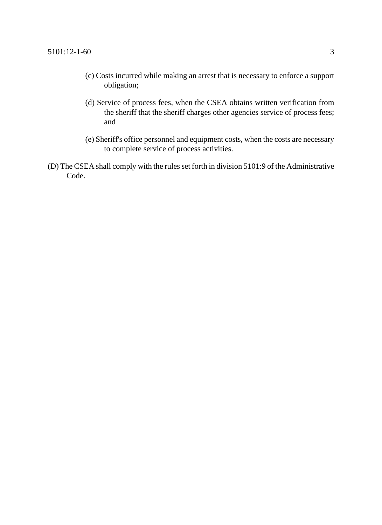- (c) Costs incurred while making an arrest that is necessary to enforce a support obligation;
- (d) Service of process fees, when the CSEA obtains written verification from the sheriff that the sheriff charges other agencies service of process fees; and
- (e) Sheriff's office personnel and equipment costs, when the costs are necessary to complete service of process activities.
- (D) The CSEA shall comply with the rules set forth in division 5101:9 of the Administrative Code.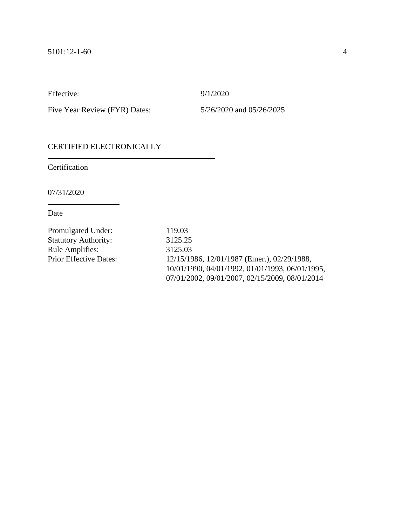Effective: 9/1/2020

Five Year Review (FYR) Dates: 5/26/2020 and 05/26/2025

# CERTIFIED ELECTRONICALLY

Certification

07/31/2020

| Promulgated Under:            | 119.03                                          |
|-------------------------------|-------------------------------------------------|
| <b>Statutory Authority:</b>   | 3125.25                                         |
| <b>Rule Amplifies:</b>        | 3125.03                                         |
| <b>Prior Effective Dates:</b> | 12/15/1986, 12/01/1987 (Emer.), 02/29/1988,     |
|                               | 10/01/1990, 04/01/1992, 01/01/1993, 06/01/1995, |
|                               | 07/01/2002, 09/01/2007, 02/15/2009, 08/01/2014  |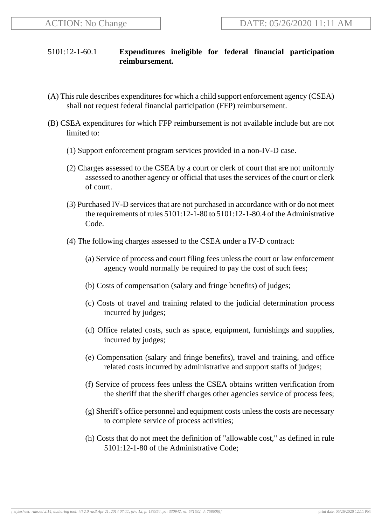# 5101:12-1-60.1 **Expenditures ineligible for federal financial participation reimbursement.**

- (A) This rule describes expenditures for which a child support enforcement agency (CSEA) shall not request federal financial participation (FFP) reimbursement.
- (B) CSEA expenditures for which FFP reimbursement is not available include but are not limited to:
	- (1) Support enforcement program services provided in a non-IV-D case.
	- (2) Charges assessed to the CSEA by a court or clerk of court that are not uniformly assessed to another agency or official that uses the services of the court or clerk of court.
	- (3) Purchased IV-D services that are not purchased in accordance with or do not meet the requirements of rules 5101:12-1-80 to 5101:12-1-80.4 of the Administrative Code.
	- (4) The following charges assessed to the CSEA under a IV-D contract:
		- (a) Service of process and court filing fees unless the court or law enforcement agency would normally be required to pay the cost of such fees;
		- (b) Costs of compensation (salary and fringe benefits) of judges;
		- (c) Costs of travel and training related to the judicial determination process incurred by judges;
		- (d) Office related costs, such as space, equipment, furnishings and supplies, incurred by judges;
		- (e) Compensation (salary and fringe benefits), travel and training, and office related costs incurred by administrative and support staffs of judges;
		- (f) Service of process fees unless the CSEA obtains written verification from the sheriff that the sheriff charges other agencies service of process fees;
		- (g) Sheriff's office personnel and equipment costs unless the costs are necessary to complete service of process activities;
		- (h) Costs that do not meet the definition of "allowable cost," as defined in rule 5101:12-1-80 of the Administrative Code;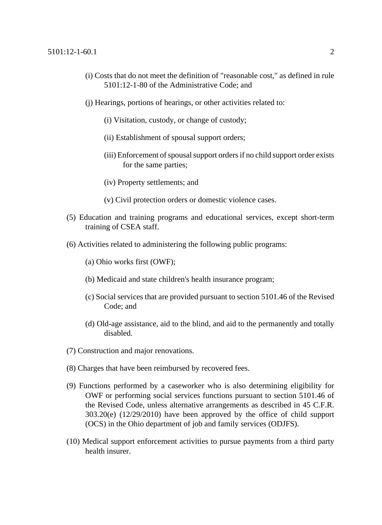- (i) Costs that do not meet the definition of "reasonable cost," as defined in rule 5101:12-1-80 of the Administrative Code; and
- (j) Hearings, portions of hearings, or other activities related to:
	- (i) Visitation, custody, or change of custody;
	- (ii) Establishment of spousal support orders;
	- (iii) Enforcement of spousal support orders if no child support order exists for the same parties;
	- (iv) Property settlements; and
	- (v) Civil protection orders or domestic violence cases.
- (5) Education and training programs and educational services, except short-term training of CSEA staff.
- (6) Activities related to administering the following public programs:
	- (a) Ohio works first (OWF);
	- (b) Medicaid and state children's health insurance program;
	- (c) Social services that are provided pursuant to section 5101.46 of the Revised Code; and
	- (d) Old-age assistance, aid to the blind, and aid to the permanently and totally disabled.
- (7) Construction and major renovations.
- (8) Charges that have been reimbursed by recovered fees.
- (9) Functions performed by a caseworker who is also determining eligibility for OWF or performing social services functions pursuant to section 5101.46 of the Revised Code, unless alternative arrangements as described in 45 C.F.R. 303.20(e) (12/29/2010) have been approved by the office of child support (OCS) in the Ohio department of job and family services (ODJFS).
- (10) Medical support enforcement activities to pursue payments from a third party health insurer.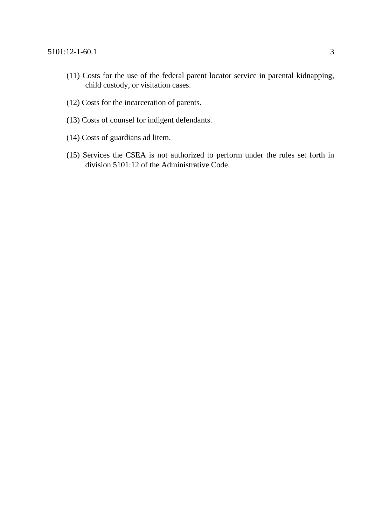- (11) Costs for the use of the federal parent locator service in parental kidnapping, child custody, or visitation cases.
- (12) Costs for the incarceration of parents.
- (13) Costs of counsel for indigent defendants.
- (14) Costs of guardians ad litem.
- (15) Services the CSEA is not authorized to perform under the rules set forth in division 5101:12 of the Administrative Code.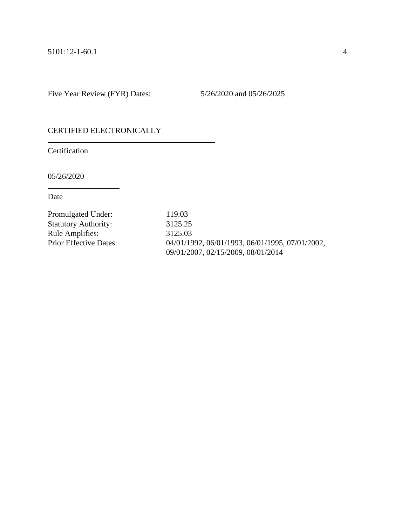Five Year Review (FYR) Dates: 5/26/2020 and 05/26/2025

# CERTIFIED ELECTRONICALLY

**Certification** 

05/26/2020

| Promulgated Under:            | 119.03                                          |
|-------------------------------|-------------------------------------------------|
| <b>Statutory Authority:</b>   | 3125.25                                         |
| <b>Rule Amplifies:</b>        | 3125.03                                         |
| <b>Prior Effective Dates:</b> | 04/01/1992, 06/01/1993, 06/01/1995, 07/01/2002, |
|                               | 09/01/2007, 02/15/2009, 08/01/2014              |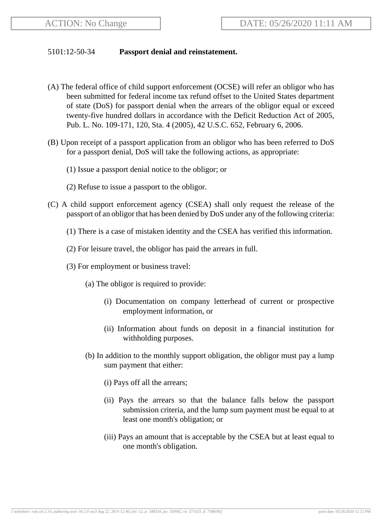## 5101:12-50-34 **Passport denial and reinstatement.**

- (A) The federal office of child support enforcement (OCSE) will refer an obligor who has been submitted for federal income tax refund offset to the United States department of state (DoS) for passport denial when the arrears of the obligor equal or exceed twenty-five hundred dollars in accordance with the Deficit Reduction Act of 2005, Pub. L. No. 109-171, 120, Sta. 4 (2005), 42 U.S.C. 652, February 6, 2006.
- (B) Upon receipt of a passport application from an obligor who has been referred to DoS for a passport denial, DoS will take the following actions, as appropriate:
	- (1) Issue a passport denial notice to the obligor; or
	- (2) Refuse to issue a passport to the obligor.
- (C) A child support enforcement agency (CSEA) shall only request the release of the passport of an obligor that has been denied by DoS under any of the following criteria:
	- (1) There is a case of mistaken identity and the CSEA has verified this information.
	- (2) For leisure travel, the obligor has paid the arrears in full.
	- (3) For employment or business travel:
		- (a) The obligor is required to provide:
			- (i) Documentation on company letterhead of current or prospective employment information, or
			- (ii) Information about funds on deposit in a financial institution for withholding purposes.
		- (b) In addition to the monthly support obligation, the obligor must pay a lump sum payment that either:
			- (i) Pays off all the arrears;
			- (ii) Pays the arrears so that the balance falls below the passport submission criteria, and the lump sum payment must be equal to at least one month's obligation; or
			- (iii) Pays an amount that is acceptable by the CSEA but at least equal to one month's obligation.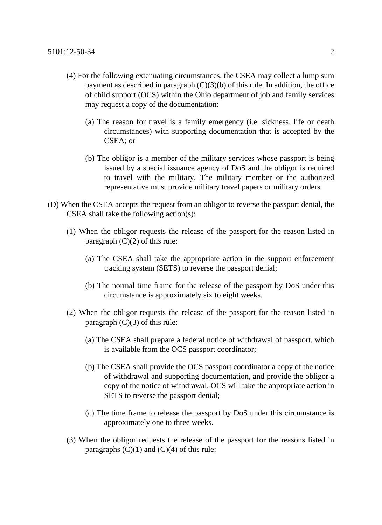- (4) For the following extenuating circumstances, the CSEA may collect a lump sum payment as described in paragraph  $(C)(3)(b)$  of this rule. In addition, the office of child support (OCS) within the Ohio department of job and family services may request a copy of the documentation:
	- (a) The reason for travel is a family emergency (i.e. sickness, life or death circumstances) with supporting documentation that is accepted by the CSEA; or
	- (b) The obligor is a member of the military services whose passport is being issued by a special issuance agency of DoS and the obligor is required to travel with the military. The military member or the authorized representative must provide military travel papers or military orders.
- (D) When the CSEA accepts the request from an obligor to reverse the passport denial, the CSEA shall take the following action(s):
	- (1) When the obligor requests the release of the passport for the reason listed in paragraph  $(C)(2)$  of this rule:
		- (a) The CSEA shall take the appropriate action in the support enforcement tracking system (SETS) to reverse the passport denial;
		- (b) The normal time frame for the release of the passport by DoS under this circumstance is approximately six to eight weeks.
	- (2) When the obligor requests the release of the passport for the reason listed in paragraph  $(C)(3)$  of this rule:
		- (a) The CSEA shall prepare a federal notice of withdrawal of passport, which is available from the OCS passport coordinator;
		- (b) The CSEA shall provide the OCS passport coordinator a copy of the notice of withdrawal and supporting documentation, and provide the obligor a copy of the notice of withdrawal. OCS will take the appropriate action in SETS to reverse the passport denial;
		- (c) The time frame to release the passport by DoS under this circumstance is approximately one to three weeks.
	- (3) When the obligor requests the release of the passport for the reasons listed in paragraphs  $(C)(1)$  and  $(C)(4)$  of this rule: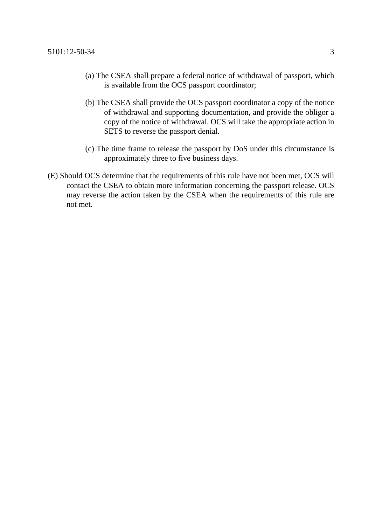- (a) The CSEA shall prepare a federal notice of withdrawal of passport, which is available from the OCS passport coordinator;
- (b) The CSEA shall provide the OCS passport coordinator a copy of the notice of withdrawal and supporting documentation, and provide the obligor a copy of the notice of withdrawal. OCS will take the appropriate action in SETS to reverse the passport denial.
- (c) The time frame to release the passport by DoS under this circumstance is approximately three to five business days.
- (E) Should OCS determine that the requirements of this rule have not been met, OCS will contact the CSEA to obtain more information concerning the passport release. OCS may reverse the action taken by the CSEA when the requirements of this rule are not met.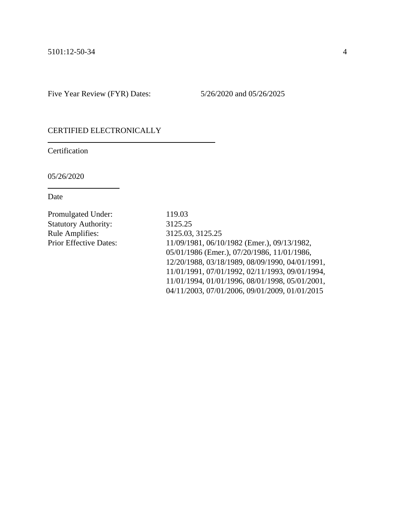Five Year Review (FYR) Dates: 5/26/2020 and 05/26/2025

# CERTIFIED ELECTRONICALLY

**Certification** 

05/26/2020

| <b>Promulgated Under:</b>     | 119.03                                          |
|-------------------------------|-------------------------------------------------|
| <b>Statutory Authority:</b>   | 3125.25                                         |
| <b>Rule Amplifies:</b>        | 3125.03, 3125.25                                |
| <b>Prior Effective Dates:</b> | 11/09/1981, 06/10/1982 (Emer.), 09/13/1982,     |
|                               | 05/01/1986 (Emer.), 07/20/1986, 11/01/1986,     |
|                               | 12/20/1988, 03/18/1989, 08/09/1990, 04/01/1991, |
|                               | 11/01/1991, 07/01/1992, 02/11/1993, 09/01/1994, |
|                               | 11/01/1994, 01/01/1996, 08/01/1998, 05/01/2001, |
|                               | 04/11/2003, 07/01/2006, 09/01/2009, 01/01/2015  |
|                               |                                                 |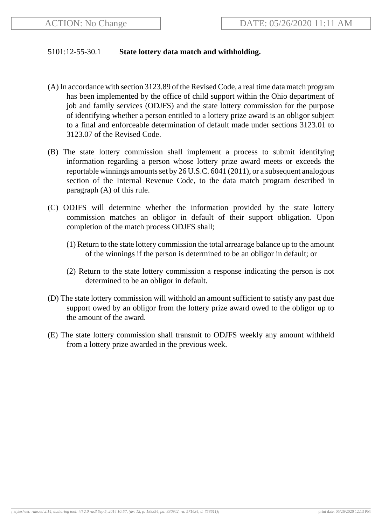### 5101:12-55-30.1 **State lottery data match and withholding.**

- (A) In accordance with section 3123.89 of the Revised Code, a real time data match program has been implemented by the office of child support within the Ohio department of job and family services (ODJFS) and the state lottery commission for the purpose of identifying whether a person entitled to a lottery prize award is an obligor subject to a final and enforceable determination of default made under sections 3123.01 to 3123.07 of the Revised Code.
- (B) The state lottery commission shall implement a process to submit identifying information regarding a person whose lottery prize award meets or exceeds the reportable winnings amounts set by 26 U.S.C. 6041 (2011), or a subsequent analogous section of the Internal Revenue Code, to the data match program described in paragraph (A) of this rule.
- (C) ODJFS will determine whether the information provided by the state lottery commission matches an obligor in default of their support obligation. Upon completion of the match process ODJFS shall;
	- (1) Return to the state lottery commission the total arrearage balance up to the amount of the winnings if the person is determined to be an obligor in default; or
	- (2) Return to the state lottery commission a response indicating the person is not determined to be an obligor in default.
- (D) The state lottery commission will withhold an amount sufficient to satisfy any past due support owed by an obligor from the lottery prize award owed to the obligor up to the amount of the award.
- (E) The state lottery commission shall transmit to ODJFS weekly any amount withheld from a lottery prize awarded in the previous week.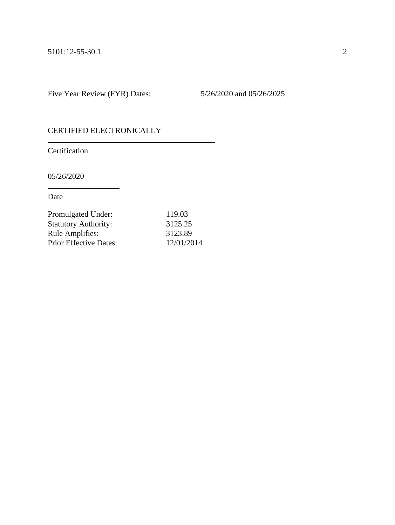Five Year Review (FYR) Dates: 5/26/2020 and 05/26/2025

# CERTIFIED ELECTRONICALLY

**Certification** 

05/26/2020

| Promulgated Under:            | 119.03     |
|-------------------------------|------------|
| <b>Statutory Authority:</b>   | 3125.25    |
| <b>Rule Amplifies:</b>        | 3123.89    |
| <b>Prior Effective Dates:</b> | 12/01/2014 |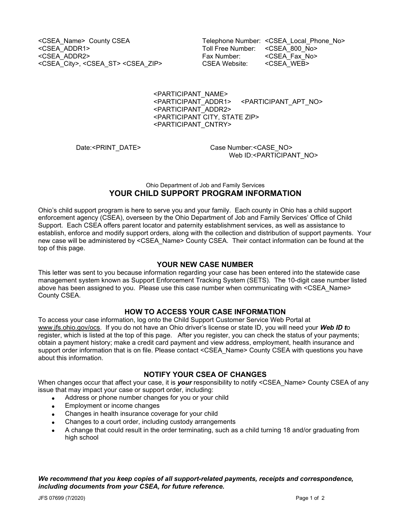<CSEA\_ADDR2> Fax Number: <CSEA\_Fax\_No> <CSEA\_City>, <CSEA\_ST> <CSEA\_ZIP> CSEA Website: <CSEA\_WEB>

<CSEA\_Name> County CSEA Telephone Number: <CSEA\_Local\_Phone\_No><br><CSEA\_ADDR1> Toll Free Number: <CSEA\_800\_No> Toll Free Number: <CSEA\_800\_No>

> <PARTICIPANT\_NAME> <PARTICIPANT\_APT\_NO> <PARTICIPANT\_ADDR2> <PARTICIPANT CITY, STATE ZIP> <PARTICIPANT\_CNTRY>

Date:<PRINT\_DATE> Case Number:<CASE\_NO> Web ID:<PARTICIPANT\_NO>

### Ohio Department of Job and Family Services **YOUR CHILD SUPPORT PROGRAM INFORMATION**

Ohio's child support program is here to serve you and your family. Each county in Ohio has a child support enforcement agency (CSEA), overseen by the Ohio Department of Job and Family Services' Office of Child Support. Each CSEA offers parent locator and paternity establishment services, as well as assistance to establish, enforce and modify support orders, along with the collection and distribution of support payments. Your new case will be administered by <CSEA\_Name> County CSEA. Their contact information can be found at the top of this page.

### **YOUR NEW CASE NUMBER**

This letter was sent to you because information regarding your case has been entered into the statewide case management system known as Support Enforcement Tracking System (SETS). The 10-digit case number listed above has been assigned to you. Please use this case number when communicating with <CSEA\_Name> County CSEA.

### **HOW TO ACCESS YOUR CASE INFORMATION**

To access your case information, log onto the Child Support Customer Service Web Portal at [www.jfs.ohio.gov/ocs.](http://www.jfs.ohio.gov/ocs) If you do not have an Ohio driver's license or state ID, you will need your *Web ID t*o register, which is listed at the top of this page. After you register, you can check the status of your payments; obtain a payment history; make a credit card payment and view address, employment, health insurance and support order information that is on file. Please contact <CSEA\_Name> County CSEA with questions you have about this information.

### **NOTIFY YOUR CSEA OF CHANGES**

When changes occur that affect your case, it is *your* responsibility to notify <CSEA\_Name> County CSEA of any issue that may impact your case or support order, including:

- Address or phone number changes for you or your child
- Employment or income changes
- Changes in health insurance coverage for your child
- Changes to a court order, including custody arrangements
- A change that could result in the order terminating, such as a child turning 18 and/or graduating from high school

*We recommend that you keep copies of all support-related payments, receipts and correspondence, including documents from your CSEA, for future reference.*